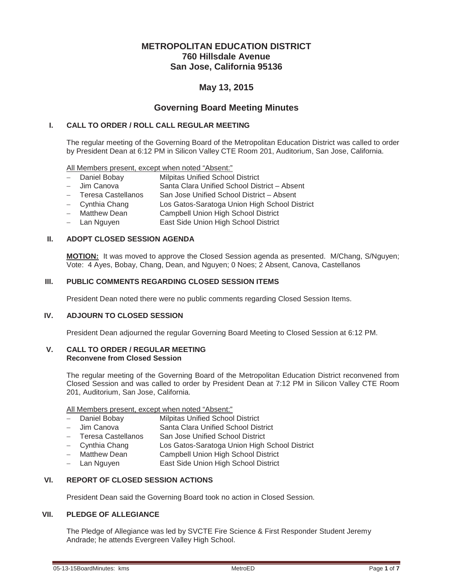# **METROPOLITAN EDUCATION DISTRICT 760 Hillsdale Avenue San Jose, California 95136**

# **May 13, 2015**

# **Governing Board Meeting Minutes**

#### **I. CALL TO ORDER / ROLL CALL REGULAR MEETING**

The regular meeting of the Governing Board of the Metropolitan Education District was called to order by President Dean at 6:12 PM in Silicon Valley CTE Room 201, Auditorium, San Jose, California.

All Members present, except when noted "Absent:"

- Daniel Bobay Milpitas Unified School District
- Jim Canova Santa Clara Unified School District Absent
- Teresa Castellanos San Jose Unified School District Absent
- Cynthia Chang Los Gatos-Saratoga Union High School District
- Matthew Dean Campbell Union High School District
- Lan Nguyen **East Side Union High School District**

#### **II. ADOPT CLOSED SESSION AGENDA**

**MOTION:** It was moved to approve the Closed Session agenda as presented. M/Chang, S/Nguyen; Vote: 4 Ayes, Bobay, Chang, Dean, and Nguyen; 0 Noes; 2 Absent, Canova, Castellanos

## **III. PUBLIC COMMENTS REGARDING CLOSED SESSION ITEMS**

President Dean noted there were no public comments regarding Closed Session Items.

#### **IV. ADJOURN TO CLOSED SESSION**

President Dean adjourned the regular Governing Board Meeting to Closed Session at 6:12 PM.

#### **V. CALL TO ORDER / REGULAR MEETING Reconvene from Closed Session**

The regular meeting of the Governing Board of the Metropolitan Education District reconvened from Closed Session and was called to order by President Dean at 7:12 PM in Silicon Valley CTE Room 201, Auditorium, San Jose, California.

All Members present, except when noted "Absent:"

- Daniel Bobay Milpitas Unified School District
- Jim Canova Santa Clara Unified School District
- San Jose Unified School District
- Cynthia Chang Los Gatos-Saratoga Union High School District
- Matthew Dean Campbell Union High School District
- Lan Nguyen **East Side Union High School District**

# **VI. REPORT OF CLOSED SESSION ACTIONS**

President Dean said the Governing Board took no action in Closed Session.

# **VII. PLEDGE OF ALLEGIANCE**

The Pledge of Allegiance was led by SVCTE Fire Science & First Responder Student Jeremy Andrade; he attends Evergreen Valley High School.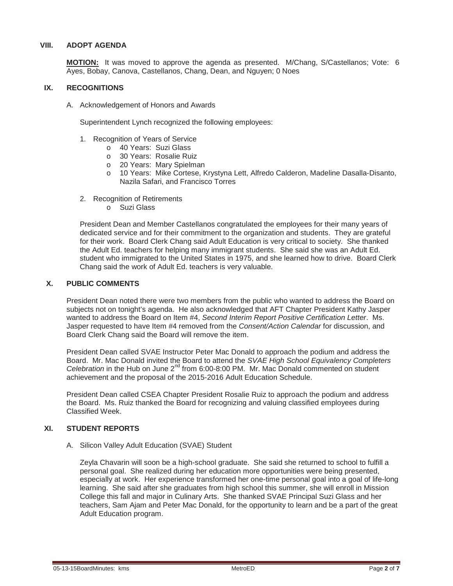#### **VIII. ADOPT AGENDA**

**MOTION:** It was moved to approve the agenda as presented. M/Chang, S/Castellanos; Vote: 6 Ayes, Bobay, Canova, Castellanos, Chang, Dean, and Nguyen; 0 Noes

#### **IX. RECOGNITIONS**

A. Acknowledgement of Honors and Awards

Superintendent Lynch recognized the following employees:

- 1. Recognition of Years of Service
	- o 40 Years: Suzi Glass
	- o 30 Years: Rosalie Ruiz
	- o 20 Years: Mary Spielman
	- o 10 Years: Mike Cortese, Krystyna Lett, Alfredo Calderon, Madeline Dasalla-Disanto, Nazila Safari, and Francisco Torres
- 2. Recognition of Retirements
	- o Suzi Glass

President Dean and Member Castellanos congratulated the employees for their many years of dedicated service and for their commitment to the organization and students. They are grateful for their work. Board Clerk Chang said Adult Education is very critical to society. She thanked the Adult Ed. teachers for helping many immigrant students. She said she was an Adult Ed. student who immigrated to the United States in 1975, and she learned how to drive. Board Clerk Chang said the work of Adult Ed. teachers is very valuable.

#### **X. PUBLIC COMMENTS**

President Dean noted there were two members from the public who wanted to address the Board on subjects not on tonight's agenda. He also acknowledged that AFT Chapter President Kathy Jasper wanted to address the Board on Item #4, *Second Interim Report Positive Certification Letter*. Ms. Jasper requested to have Item #4 removed from the *Consent/Action Calendar* for discussion, and Board Clerk Chang said the Board will remove the item.

President Dean called SVAE Instructor Peter Mac Donald to approach the podium and address the Board. Mr. Mac Donald invited the Board to attend the *SVAE High School Equivalency Completers Celebration* in the Hub on June 2<sup>nd</sup> from 6:00-8:00 PM. Mr. Mac Donald commented on student achievement and the proposal of the 2015-2016 Adult Education Schedule.

President Dean called CSEA Chapter President Rosalie Ruiz to approach the podium and address the Board. Ms. Ruiz thanked the Board for recognizing and valuing classified employees during Classified Week.

# **XI. STUDENT REPORTS**

A. Silicon Valley Adult Education (SVAE) Student

Zeyla Chavarin will soon be a high-school graduate. She said she returned to school to fulfill a personal goal. She realized during her education more opportunities were being presented, especially at work. Her experience transformed her one-time personal goal into a goal of life-long learning. She said after she graduates from high school this summer, she will enroll in Mission College this fall and major in Culinary Arts. She thanked SVAE Principal Suzi Glass and her teachers, Sam Ajam and Peter Mac Donald, for the opportunity to learn and be a part of the great Adult Education program.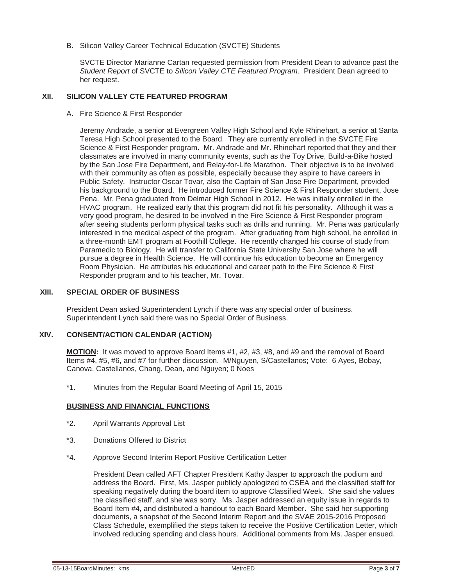B. Silicon Valley Career Technical Education (SVCTE) Students

SVCTE Director Marianne Cartan requested permission from President Dean to advance past the *Student Report* of SVCTE to *Silicon Valley CTE Featured Program*. President Dean agreed to her request.

#### **XII. SILICON VALLEY CTE FEATURED PROGRAM**

A. Fire Science & First Responder

Jeremy Andrade, a senior at Evergreen Valley High School and Kyle Rhinehart, a senior at Santa Teresa High School presented to the Board. They are currently enrolled in the SVCTE Fire Science & First Responder program. Mr. Andrade and Mr. Rhinehart reported that they and their classmates are involved in many community events, such as the Toy Drive, Build-a-Bike hosted by the San Jose Fire Department, and Relay-for-Life Marathon. Their objective is to be involved with their community as often as possible, especially because they aspire to have careers in Public Safety. Instructor Oscar Tovar, also the Captain of San Jose Fire Department, provided his background to the Board. He introduced former Fire Science & First Responder student, Jose Pena. Mr. Pena graduated from Delmar High School in 2012. He was initially enrolled in the HVAC program. He realized early that this program did not fit his personality. Although it was a very good program, he desired to be involved in the Fire Science & First Responder program after seeing students perform physical tasks such as drills and running. Mr. Pena was particularly interested in the medical aspect of the program. After graduating from high school, he enrolled in a three-month EMT program at Foothill College. He recently changed his course of study from Paramedic to Biology. He will transfer to California State University San Jose where he will pursue a degree in Health Science. He will continue his education to become an Emergency Room Physician. He attributes his educational and career path to the Fire Science & First Responder program and to his teacher, Mr. Tovar.

#### **XIII. SPECIAL ORDER OF BUSINESS**

President Dean asked Superintendent Lynch if there was any special order of business. Superintendent Lynch said there was no Special Order of Business.

#### **XIV. CONSENT/ACTION CALENDAR (ACTION)**

**MOTION:** It was moved to approve Board Items #1, #2, #3, #8, and #9 and the removal of Board Items #4, #5, #6, and #7 for further discussion. M/Nguyen, S/Castellanos; Vote: 6 Ayes, Bobay, Canova, Castellanos, Chang, Dean, and Nguyen; 0 Noes

\*1. Minutes from the Regular Board Meeting of April 15, 2015

#### **BUSINESS AND FINANCIAL FUNCTIONS**

- \*2. April Warrants Approval List
- \*3. Donations Offered to District
- \*4. Approve Second Interim Report Positive Certification Letter

President Dean called AFT Chapter President Kathy Jasper to approach the podium and address the Board. First, Ms. Jasper publicly apologized to CSEA and the classified staff for speaking negatively during the board item to approve Classified Week. She said she values the classified staff, and she was sorry. Ms. Jasper addressed an equity issue in regards to Board Item #4, and distributed a handout to each Board Member. She said her supporting documents, a snapshot of the Second Interim Report and the SVAE 2015-2016 Proposed Class Schedule, exemplified the steps taken to receive the Positive Certification Letter, which involved reducing spending and class hours. Additional comments from Ms. Jasper ensued.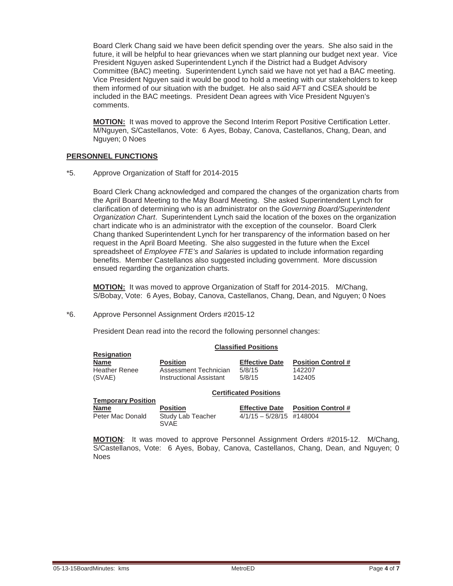Board Clerk Chang said we have been deficit spending over the years. She also said in the future, it will be helpful to hear grievances when we start planning our budget next year. Vice President Nguyen asked Superintendent Lynch if the District had a Budget Advisory Committee (BAC) meeting. Superintendent Lynch said we have not yet had a BAC meeting. Vice President Nguyen said it would be good to hold a meeting with our stakeholders to keep them informed of our situation with the budget. He also said AFT and CSEA should be included in the BAC meetings. President Dean agrees with Vice President Nguyen's comments.

**MOTION:** It was moved to approve the Second Interim Report Positive Certification Letter. M/Nguyen, S/Castellanos, Vote: 6 Ayes, Bobay, Canova, Castellanos, Chang, Dean, and Nguyen; 0 Noes

#### **PERSONNEL FUNCTIONS**

**Resignation**

**Temporary Position**

\*5. Approve Organization of Staff for 2014-2015

Board Clerk Chang acknowledged and compared the changes of the organization charts from the April Board Meeting to the May Board Meeting. She asked Superintendent Lynch for clarification of determining who is an administrator on the *Governing Board/Superintendent Organization Chart*. Superintendent Lynch said the location of the boxes on the organization chart indicate who is an administrator with the exception of the counselor. Board Clerk Chang thanked Superintendent Lynch for her transparency of the information based on her request in the April Board Meeting. She also suggested in the future when the Excel spreadsheet of *Employee FTE's and Salaries* is updated to include information regarding benefits. Member Castellanos also suggested including government. More discussion ensued regarding the organization charts.

**MOTION:** It was moved to approve Organization of Staff for 2014-2015. M/Chang, S/Bobay, Vote: 6 Ayes, Bobay, Canova, Castellanos, Chang, Dean, and Nguyen; 0 Noes

\*6. Approve Personnel Assignment Orders #2015-12

President Dean read into the record the following personnel changes:

#### **Classified Positions**

| <b>Position</b>         | <b>Effective Date</b> | <b>Position Control #</b> |
|-------------------------|-----------------------|---------------------------|
| Assessment Technician   | 5/8/15                | 142207                    |
| Instructional Assistant | 5/8/15                | 142405                    |
|                         |                       |                           |

#### **Certificated Positions**

| <b>IGHIPORIY I VOILIUII</b> |                                  |                            |                           |
|-----------------------------|----------------------------------|----------------------------|---------------------------|
| Name                        | <b>Position</b>                  | <b>Effective Date</b>      | <b>Position Control</b> # |
| Peter Mac Donald            | Study Lab Teacher<br><b>SVAE</b> | $4/1/15 - 5/28/15$ #148004 |                           |

**MOTION**: It was moved to approve Personnel Assignment Orders #2015-12. M/Chang, S/Castellanos, Vote: 6 Ayes, Bobay, Canova, Castellanos, Chang, Dean, and Nguyen; 0 Noes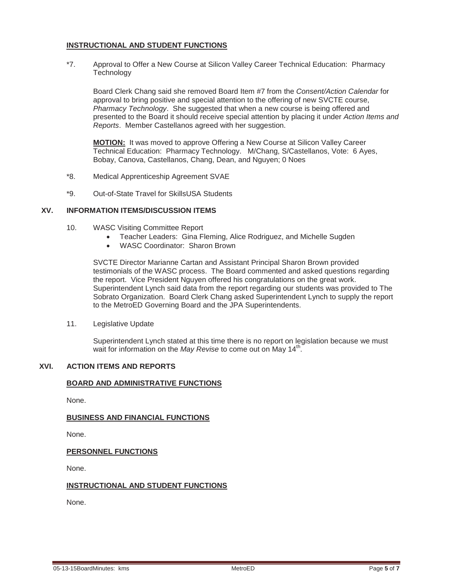### **INSTRUCTIONAL AND STUDENT FUNCTIONS**

\*7. Approval to Offer a New Course at Silicon Valley Career Technical Education: Pharmacy **Technology** 

Board Clerk Chang said she removed Board Item #7 from the *Consent/Action Calendar* for approval to bring positive and special attention to the offering of new SVCTE course, *Pharmacy Technology*. She suggested that when a new course is being offered and presented to the Board it should receive special attention by placing it under *Action Items and Reports*. Member Castellanos agreed with her suggestion.

**MOTION:** It was moved to approve Offering a New Course at Silicon Valley Career Technical Education: Pharmacy Technology. M/Chang, S/Castellanos, Vote: 6 Ayes, Bobay, Canova, Castellanos, Chang, Dean, and Nguyen; 0 Noes

- \*8. Medical Apprenticeship Agreement SVAE
- \*9. Out-of-State Travel for SkillsUSA Students

#### **XV. INFORMATION ITEMS/DISCUSSION ITEMS**

- 10. WASC Visiting Committee Report
	- Teacher Leaders: Gina Fleming, Alice Rodriguez, and Michelle Sugden
	- WASC Coordinator: Sharon Brown

SVCTE Director Marianne Cartan and Assistant Principal Sharon Brown provided testimonials of the WASC process. The Board commented and asked questions regarding the report. Vice President Nguyen offered his congratulations on the great work. Superintendent Lynch said data from the report regarding our students was provided to The Sobrato Organization. Board Clerk Chang asked Superintendent Lynch to supply the report to the MetroED Governing Board and the JPA Superintendents.

11. Legislative Update

Superintendent Lynch stated at this time there is no report on legislation because we must wait for information on the *May Revise* to come out on May 14<sup>th</sup>.

### **XVI. ACTION ITEMS AND REPORTS**

# **BOARD AND ADMINISTRATIVE FUNCTIONS**

None.

## **BUSINESS AND FINANCIAL FUNCTIONS**

None.

#### **PERSONNEL FUNCTIONS**

None.

## **INSTRUCTIONAL AND STUDENT FUNCTIONS**

None.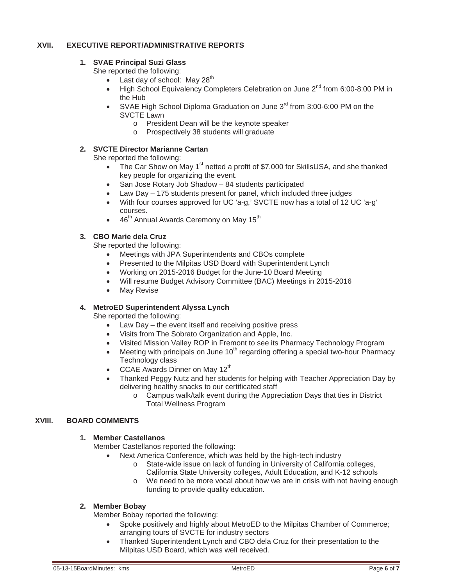# **XVII. EXECUTIVE REPORT/ADMINISTRATIVE REPORTS**

# **1. SVAE Principal Suzi Glass**

She reported the following:

- $\bullet$  Last day of school: May 28<sup>th</sup>
- High School Equivalency Completers Celebration on June  $2^{nd}$  from 6:00-8:00 PM in the Hub
- SVAE High School Diploma Graduation on June 3<sup>rd</sup> from 3:00-6:00 PM on the SVCTE Lawn
	- o President Dean will be the keynote speaker
	- o Prospectively 38 students will graduate

# **2. SVCTE Director Marianne Cartan**

She reported the following:

- $\bullet$  The Car Show on May 1<sup>st</sup> netted a profit of \$7,000 for SkillsUSA, and she thanked key people for organizing the event.
- San Jose Rotary Job Shadow 84 students participated
- $\bullet$  Law Day 175 students present for panel, which included three judges
- With four courses approved for UC 'a-g,' SVCTE now has a total of 12 UC 'a-g' courses.
- 46<sup>th</sup> Annual Awards Ceremony on May 15<sup>th</sup>

# **3. CBO Marie dela Cruz**

She reported the following:

- Meetings with JPA Superintendents and CBOs complete
- Presented to the Milpitas USD Board with Superintendent Lynch
- Working on 2015-2016 Budget for the June-10 Board Meeting
- Will resume Budget Advisory Committee (BAC) Meetings in 2015-2016
- May Revise

## **4. MetroED Superintendent Alyssa Lynch**

She reported the following:

- Law Day the event itself and receiving positive press
- Visits from The Sobrato Organization and Apple, Inc.
- Visited Mission Valley ROP in Fremont to see its Pharmacy Technology Program
- $\bullet$  Meeting with principals on June 10<sup>th</sup> regarding offering a special two-hour Pharmacy Technology class
- CCAE Awards Dinner on May  $12<sup>th</sup>$
- x Thanked Peggy Nutz and her students for helping with Teacher Appreciation Day by delivering healthy snacks to our certificated staff
	- o Campus walk/talk event during the Appreciation Days that ties in District Total Wellness Program

# **XVIII. BOARD COMMENTS**

# **1. Member Castellanos**

Member Castellanos reported the following:

- Next America Conference, which was held by the high-tech industry
	- o State-wide issue on lack of funding in University of California colleges, California State University colleges, Adult Education, and K-12 schools
	- o We need to be more vocal about how we are in crisis with not having enough funding to provide quality education.

## **2. Member Bobay**

Member Bobay reported the following:

- Spoke positively and highly about MetroED to the Milpitas Chamber of Commerce; arranging tours of SVCTE for industry sectors
- Thanked Superintendent Lynch and CBO dela Cruz for their presentation to the Milpitas USD Board, which was well received.